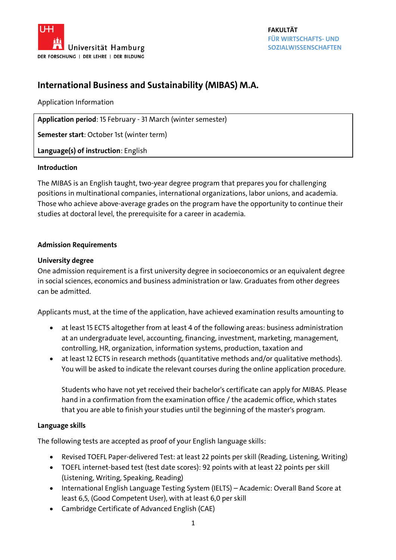

# **International Business and Sustainability (MIBAS) M.A.**

# Application Information

**Application period**: 15 February - 31 March (winter semester)

**Semester start**: October 1st (winter term)

**Language(s) of instruction**: English

# **Introduction**

The MIBAS is an English taught, two-year degree program that prepares you for challenging positions in multinational companies, international organizations, labor unions, and academia. Those who achieve above-average grades on the program have the opportunity to continue their studies at doctoral level, the prerequisite for a career in academia.

# **Admission Requirements**

# **University degree**

One admission requirement is a first university degree in socioeconomics or an equivalent degree in social sciences, economics and business administration or law. Graduates from other degrees can be admitted.

Applicants must, at the time of the application, have achieved examination results amounting to

- at least 15 ECTS altogether from at least 4 of the following areas: business administration at an undergraduate level, accounting, financing, investment, marketing, management, controlling, HR, organization, information systems, production, taxation and
- at least 12 ECTS in research methods (quantitative methods and/or qualitative methods). You will be asked to indicate the relevant courses during the online application procedure.

Students who have not yet received their bachelor's certificate can apply for MIBAS. Please hand in a confirmation from the examination office / the academic office, which states that you are able to finish your studies until the beginning of the master's program.

# **Language skills**

The following tests are accepted as proof of your English language skills:

- Revised TOEFL Paper-delivered Test: at least 22 points per skill (Reading, Listening, Writing)
- TOEFL internet-based test (test date scores): 92 points with at least 22 points per skill (Listening, Writing, Speaking, Reading)
- International English Language Testing System (IELTS) Academic: Overall Band Score at least 6,5, (Good Competent User), with at least 6,0 per skill
- Cambridge Certificate of Advanced English (CAE)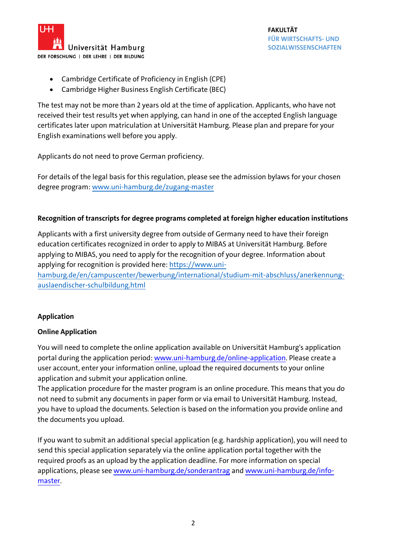

- Cambridge Certificate of Proficiency in English (CPE)
- Cambridge Higher Business English Certificate (BEC)

The test may not be more than 2 years old at the time of application. Applicants, who have not received their test results yet when applying, can hand in one of the accepted English language certificates later upon matriculation at Universität Hamburg. Please plan and prepare for your English examinations well before you apply.

Applicants do not need to prove German proficiency.

For details of the legal basis for this regulation, please see the admission bylaws for your chosen degree program[: www.uni-hamburg.de/zugang-master](http://www.uni-hamburg.de/zugang-master)

# **Recognition of transcripts for degree programs completed at foreign higher education institutions**

Applicants with a first university degree from outside of Germany need to have their foreign education certificates recognized in order to apply to MIBAS at Universität Hamburg. Before applying to MIBAS, you need to apply for the recognition of your degree. Information about applying for recognition is provided here[: https://www.uni-](https://www.uni-hamburg.de/en/campuscenter/bewerbung/international/studium-mit-abschluss/anerkennung-auslaendischer-schulbildung.html)

[hamburg.de/en/campuscenter/bewerbung/international/studium-mit-abschluss/anerkennung](https://www.uni-hamburg.de/en/campuscenter/bewerbung/international/studium-mit-abschluss/anerkennung-auslaendischer-schulbildung.html)[auslaendischer-schulbildung.html](https://www.uni-hamburg.de/en/campuscenter/bewerbung/international/studium-mit-abschluss/anerkennung-auslaendischer-schulbildung.html)

# **Application**

#### **Online Application**

You will need to complete the online application available on Universität Hamburg's application portal during the application period: [www.uni-hamburg.de/online-application.](http://www.uni-hamburg.de/online-application) Please create a user account, enter your information online, upload the required documents to your online application and submit your application online.

The application procedure for the master program is an online procedure. This means that you do not need to submit any documents in paper form or via email to Universität Hamburg. Instead, you have to upload the documents. Selection is based on the information you provide online and the documents you upload.

If you want to submit an additional special application (e.g. hardship application), you will need to send this special application separately via the online application portal together with the required proofs as an upload by the application deadline. For more information on special applications, please see [www.uni-hamburg.de/sonderantrag](https://www.uni-hamburg.de/en/campuscenter/bewerbung/bachelor-staatsexamen/sonderantraege.html) and [www.uni-hamburg.de/info](http://www.uni-hamburg.de/info-master)[master.](http://www.uni-hamburg.de/info-master)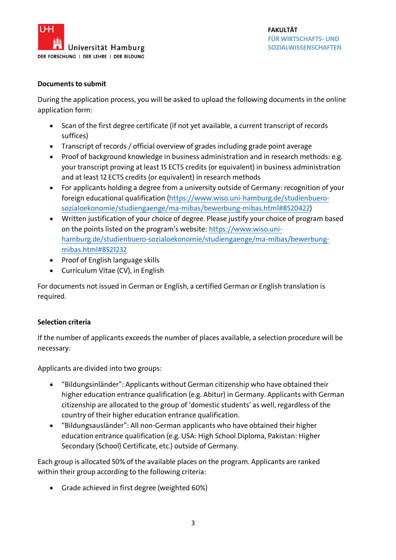

#### **Documents to submit**

During the application process, you will be asked to upload the following documents in the online application form:

- Scan of the first degree certificate (if not yet available, a current transcript of records suffices)
- Transcript of records / official overview of grades including grade point average
- Proof of background knowledge in business administration and in research methods: e.g. your transcript proving at least 15 ECTS credits (or equivalent) in business administration and at least 12 ECTS credits (or equivalent) in research methods
- For applicants holding a degree from a university outside of Germany: recognition of your foreign educational qualification [\(https://www.wiso.uni-hamburg.de/studienbuero](https://www.wiso.uni-hamburg.de/studienbuero-sozialoekonomie/studiengaenge/ma-mibas/bewerbung-mibas.html#8520422)[sozialoekonomie/studiengaenge/ma-mibas/bewerbung-mibas.html#8520422\)](https://www.wiso.uni-hamburg.de/studienbuero-sozialoekonomie/studiengaenge/ma-mibas/bewerbung-mibas.html#8520422)
- Written justification of your choice of degree. Please justify your choice of program based on the points listed on the program's website: [https://www.wiso.uni](https://www.wiso.uni-hamburg.de/studienbuero-sozialoekonomie/studiengaenge/ma-mibas/bewerbung-mibas.html#8521232)[hamburg.de/studienbuero-sozialoekonomie/studiengaenge/ma-mibas/bewerbung](https://www.wiso.uni-hamburg.de/studienbuero-sozialoekonomie/studiengaenge/ma-mibas/bewerbung-mibas.html#8521232)[mibas.html#8521232](https://www.wiso.uni-hamburg.de/studienbuero-sozialoekonomie/studiengaenge/ma-mibas/bewerbung-mibas.html#8521232)
- Proof of English language skills
- Curriculum Vitae (CV), in English

For documents not issued in German or English, a certified German or English translation is required.

# **Selection criteria**

If the number of applicants exceeds the number of places available, a selection procedure will be necessary:

Applicants are divided into two groups:

- "Bildungsinländer": Applicants without German citizenship who have obtained their higher education entrance qualification (e.g. Abitur) in Germany. Applicants with German citizenship are allocated to the group of 'domestic students' as well, regardless of the country of their higher education entrance qualification.
- "Bildungsausländer": All non-German applicants who have obtained their higher education entrance qualification (e.g. USA: High School Diploma, Pakistan: Higher Secondary (School) Certificate, etc.) outside of Germany.

Each group is allocated 50% of the available places on the program. Applicants are ranked within their group according to the following criteria:

Grade achieved in first degree (weighted 60%)